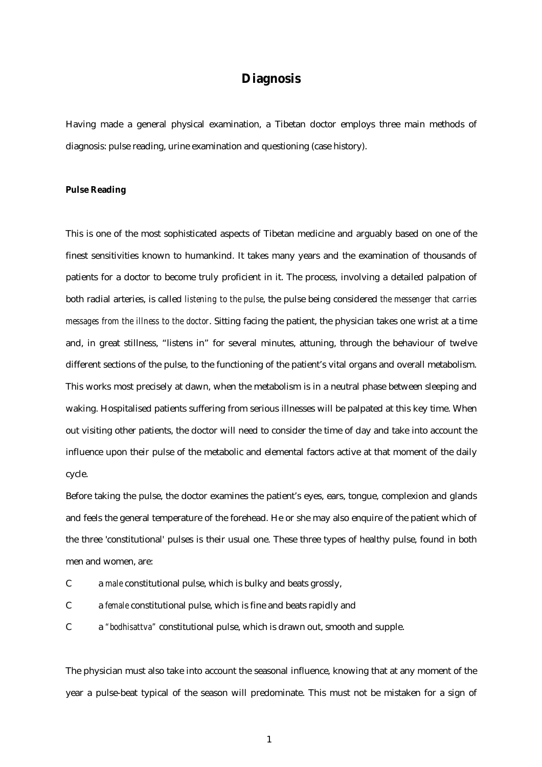# **Diagnosis**

Having made a general physical examination, a Tibetan doctor employs three main methods of diagnosis: pulse reading, urine examination and questioning (case history).

### **Pulse Reading**

This is one of the most sophisticated aspects of Tibetan medicine and arguably based on one of the finest sensitivities known to humankind. It takes many years and the examination of thousands of patients for a doctor to become truly proficient in it. The process, involving a detailed palpation of both radial arteries, is called *listening to the pulse*, the pulse being considered *the messenger that carries messages from the illness to the doctor*. Sitting facing the patient, the physician takes one wrist at a time and, in great stillness, "listens in" for several minutes, attuning, through the behaviour of twelve different sections of the pulse, to the functioning of the patient's vital organs and overall metabolism. This works most precisely at dawn, when the metabolism is in a neutral phase between sleeping and waking. Hospitalised patients suffering from serious illnesses will be palpated at this key time. When out visiting other patients, the doctor will need to consider the time of day and take into account the influence upon their pulse of the metabolic and elemental factors active at that moment of the daily cycle.

Before taking the pulse, the doctor examines the patient's eyes, ears, tongue, complexion and glands and feels the general temperature of the forehead. He or she may also enquire of the patient which of the three 'constitutional' pulses is their usual one. These three types of healthy pulse, found in both men and women, are:

- C a *male* constitutional pulse, which is bulky and beats grossly,
- C a *female* constitutional pulse, which is fine and beats rapidly and
- C a *"bodhisattva"* constitutional pulse, which is drawn out, smooth and supple.

The physician must also take into account the seasonal influence, knowing that at any moment of the year a pulse-beat typical of the season will predominate. This must not be mistaken for a sign of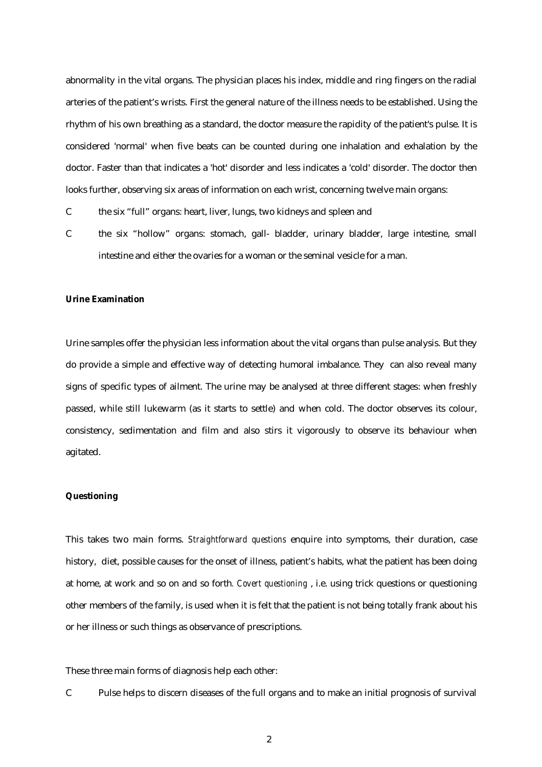abnormality in the vital organs. The physician places his index, middle and ring fingers on the radial arteries of the patient's wrists. First the general nature of the illness needs to be established. Using the rhythm of his own breathing as a standard, the doctor measure the rapidity of the patient's pulse. It is considered 'normal' when five beats can be counted during one inhalation and exhalation by the doctor. Faster than that indicates a 'hot' disorder and less indicates a 'cold' disorder. The doctor then looks further, observing six areas of information on each wrist, concerning twelve main organs:

C the six "full" organs: heart, liver, lungs, two kidneys and spleen and

C the six "hollow" organs: stomach, gall- bladder, urinary bladder, large intestine, small intestine and either the ovaries for a woman or the seminal vesicle for a man.

#### **Urine Examination**

Urine samples offer the physician less information about the vital organs than pulse analysis. But they do provide a simple and effective way of detecting humoral imbalance. They can also reveal many signs of specific types of ailment. The urine may be analysed at three different stages: when freshly passed, while still lukewarm (as it starts to settle) and when cold. The doctor observes its colour, consistency, sedimentation and film and also stirs it vigorously to observe its behaviour when agitated.

### **Questioning**

This takes two main forms. *Straightforward questions* enquire into symptoms, their duration, case history, diet, possible causes for the onset of illness, patient's habits, what the patient has been doing at home, at work and so on and so forth*. Covert questioning* , i.e. using trick questions or questioning other members of the family, is used when it is felt that the patient is not being totally frank about his or her illness or such things as observance of prescriptions.

These three main forms of diagnosis help each other:

C Pulse helps to discern diseases of the full organs and to make an initial prognosis of survival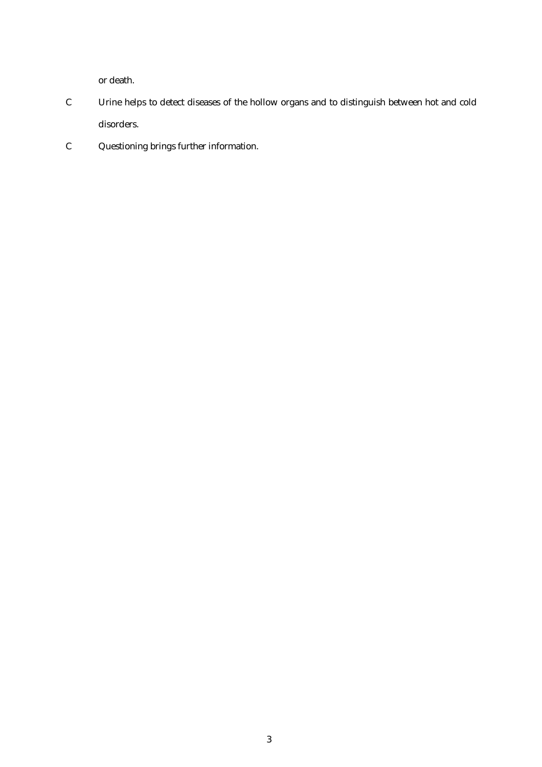or death.

- C Urine helps to detect diseases of the hollow organs and to distinguish between hot and cold disorders.
- C Questioning brings further information.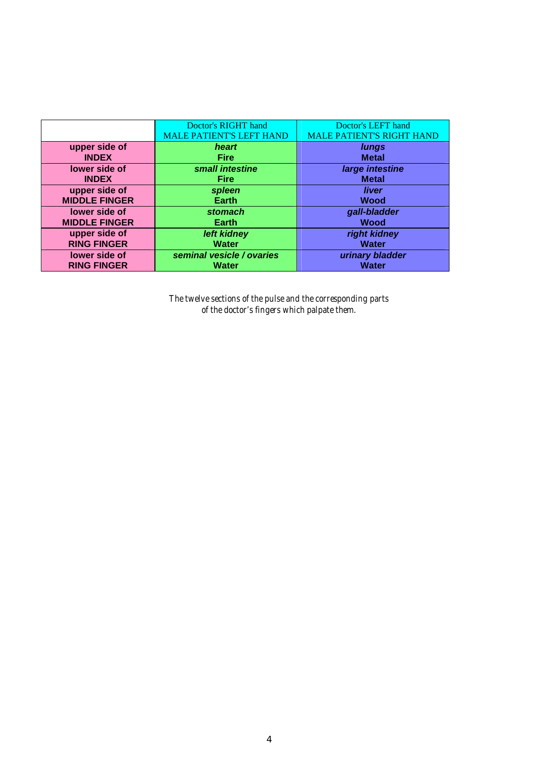|                      | Doctor's RIGHT hand<br><b>MALE PATIENT'S LEFT HAND</b> | Doctor's LEFT hand<br><b>MALE PATIENT'S RIGHT HAND</b> |
|----------------------|--------------------------------------------------------|--------------------------------------------------------|
| upper side of        | heart                                                  | lungs                                                  |
| <b>INDEX</b>         | <b>Fire</b>                                            | <b>Metal</b>                                           |
| lower side of        | small intestine                                        | large intestine                                        |
| <b>INDEX</b>         | <b>Fire</b>                                            | <b>Metal</b>                                           |
| upper side of        | spleen                                                 | liver                                                  |
| <b>MIDDLE FINGER</b> | <b>Earth</b>                                           | <b>Wood</b>                                            |
| lower side of        | stomach                                                | gall-bladder                                           |
| <b>MIDDLE FINGER</b> | <b>Earth</b>                                           | <b>Wood</b>                                            |
| upper side of        | left kidney                                            | right kidney                                           |
| <b>RING FINGER</b>   | <b>Water</b>                                           | <b>Water</b>                                           |
| lower side of        | seminal vesicle / ovaries                              | urinary bladder                                        |
| <b>RING FINGER</b>   | <b>Water</b>                                           | <b>Water</b>                                           |

*The twelve sections of the pulse and the corresponding parts of the doctor's fingers which palpate them.*